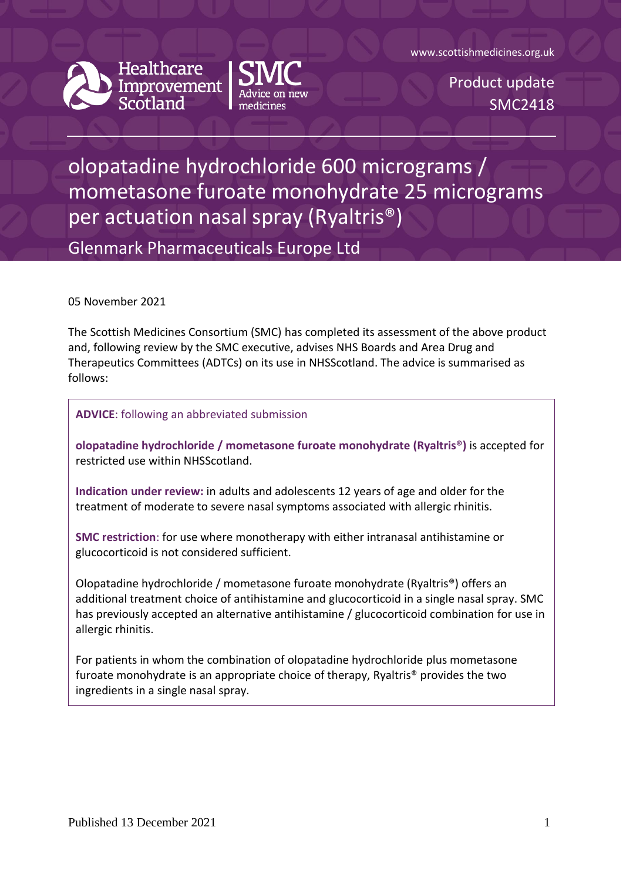www.scottishmedicines.org.uk



Healthcare Improvement



Product update SMC2418

## olopatadine hydrochloride 600 micrograms / mometasone furoate monohydrate 25 micrograms per actuation nasal spray (Ryaltris®)

Glenmark Pharmaceuticals Europe Ltd

05 November 2021

The Scottish Medicines Consortium (SMC) has completed its assessment of the above product and, following review by the SMC executive, advises NHS Boards and Area Drug and Therapeutics Committees (ADTCs) on its use in NHSScotland. The advice is summarised as follows:

**ADVICE**: following an abbreviated submission

**olopatadine hydrochloride / mometasone furoate monohydrate (Ryaltris®)** is accepted for restricted use within NHSScotland.

**Indication under review:** in adults and adolescents 12 years of age and older for the treatment of moderate to severe nasal symptoms associated with allergic rhinitis.

**SMC restriction**: for use where monotherapy with either intranasal antihistamine or glucocorticoid is not considered sufficient.

Olopatadine hydrochloride / mometasone furoate monohydrate (Ryaltris®) offers an additional treatment choice of antihistamine and glucocorticoid in a single nasal spray. SMC has previously accepted an alternative antihistamine / glucocorticoid combination for use in allergic rhinitis.

For patients in whom the combination of olopatadine hydrochloride plus mometasone furoate monohydrate is an appropriate choice of therapy, Ryaltris® provides the two ingredients in a single nasal spray.